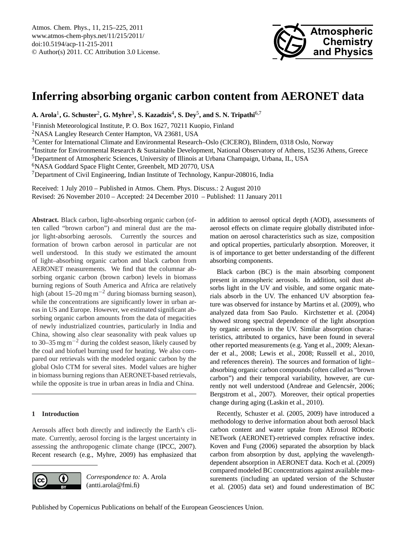

# <span id="page-0-0"></span>**Inferring absorbing organic carbon content from AERONET data**

**A. Arola**<sup>1</sup> **, G. Schuster**<sup>2</sup> **, G. Myhre**<sup>3</sup> **, S. Kazadzis**<sup>4</sup> **, S. Dey**<sup>5</sup> **, and S. N. Tripathi**6,7

<sup>1</sup>Finnish Meteorological Institute, P. O. Box 1627, 70211 Kuopio, Finland

<sup>2</sup>NASA Langley Research Center Hampton, VA 23681, USA

<sup>3</sup>Center for International Climate and Environmental Research–Oslo (CICERO), Blindern, 0318 Oslo, Norway

<sup>4</sup>Institute for Environmental Research & Sustainable Development, National Observatory of Athens, 15236 Athens, Greece

<sup>5</sup>Department of Atmospheric Sciences, University of Illinois at Urbana Champaign, Urbana, IL, USA

<sup>6</sup>NASA Goddard Space Flight Center, Greenbelt, MD 20770, USA

<sup>7</sup>Department of Civil Engineering, Indian Institute of Technology, Kanpur-208016, India

Received: 1 July 2010 – Published in Atmos. Chem. Phys. Discuss.: 2 August 2010 Revised: 26 November 2010 – Accepted: 24 December 2010 – Published: 11 January 2011

**Abstract.** Black carbon, light-absorbing organic carbon (often called "brown carbon") and mineral dust are the major light-absorbing aerosols. Currently the sources and formation of brown carbon aerosol in particular are not well understood. In this study we estimated the amount of light–absorbing organic carbon and black carbon from AERONET measurements. We find that the columnar absorbing organic carbon (brown carbon) levels in biomass burning regions of South America and Africa are relatively high (about 15–20 mg m−<sup>2</sup> during biomass burning season), while the concentrations are significantly lower in urban areas in US and Europe. However, we estimated significant absorbing organic carbon amounts from the data of megacities of newly industrialized countries, particularly in India and China, showing also clear seasonality with peak values up to 30–35 mg m<sup>-2</sup> during the coldest season, likely caused by the coal and biofuel burning used for heating. We also compared our retrievals with the modeled organic carbon by the global Oslo CTM for several sites. Model values are higher in biomass burning regions than AERONET-based retrievals, while the opposite is true in urban areas in India and China.

# **1 Introduction**

Aerosols affect both directly and indirectly the Earth's climate. Currently, aerosol forcing is the largest uncertainty in assessing the anthropogenic climate change [\(IPCC,](#page-9-0) [2007\)](#page-9-0). Recent research (e.g., [Myhre,](#page-10-0) [2009\)](#page-10-0) has emphasized that



*Correspondence to:* A. Arola (antti.arola@fmi.fi)

in addition to aerosol optical depth (AOD), assessments of aerosol effects on climate require globally distributed information on aerosol characteristics such as size, composition and optical properties, particularly absorption. Moreover, it is of importance to get better understanding of the different absorbing components.

Black carbon (BC) is the main absorbing component present in atmospheric aerosols. In addition, soil dust absorbs light in the UV and visible, and some organic materials absorb in the UV. The enhanced UV absorption feature was observed for instance by [Martins et al.](#page-10-1) [\(2009\)](#page-10-1), who analyzed data from Sao Paulo. [Kirchstetter et al.](#page-9-1) [\(2004\)](#page-9-1) showed strong spectral dependence of the light absorption by organic aerosols in the UV. Similar absorption characteristics, attributed to organics, have been found in several other reported measurements (e.g. [Yang et al.,](#page-10-2) [2009;](#page-10-2) [Alexan](#page-9-2)[der et al.,](#page-9-2) [2008;](#page-9-2) [Lewis et al.,](#page-10-3) [2008;](#page-10-3) [Russell et al.,](#page-10-4) [2010,](#page-10-4) and references therein). The sources and formation of light– absorbing organic carbon compounds (often called as "brown carbon") and their temporal variability, however, are cur-rently not well understood (Andreae and Gelencsér, [2006;](#page-9-3) [Bergstrom et al.,](#page-9-4) [2007\)](#page-9-4). Moreover, their optical properties change during aging [\(Laskin et al.,](#page-10-5) [2010\)](#page-10-5).

Recently, [Schuster et al.](#page-10-6) [\(2005,](#page-10-6) [2009\)](#page-10-7) have introduced a methodology to derive information about both aerosol black carbon content and water uptake from AErosol RObotic NETwork (AERONET)-retrieved complex refractive index. [Koven and Fung](#page-10-8) [\(2006\)](#page-10-8) separated the absorption by black carbon from absorption by dust, applying the wavelengthdependent absorption in AERONET data. [Koch et al.](#page-9-5) [\(2009\)](#page-9-5) compared modeled BC concentrations against available measurements (including an updated version of the [Schuster](#page-10-6) [et al.](#page-10-6) [\(2005\)](#page-10-6) data set) and found underestimation of BC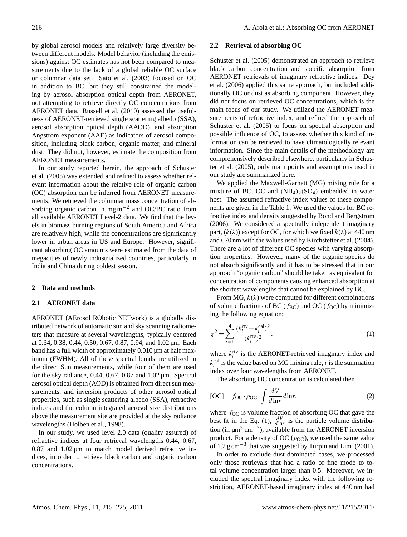by global aerosol models and relatively large diversity between different models. Model behavior (including the emissions) against OC estimates has not been compared to measurements due to the lack of a global reliable OC surface or columnar data set. [Sato et al.](#page-10-9) [\(2003\)](#page-10-9) focused on OC in addition to BC, but they still constrained the modeling by aerosol absorption optical depth from AERONET, not attempting to retrieve directly OC concentrations from AERONET data. [Russell et al.](#page-10-4) [\(2010\)](#page-10-4) assessed the usefulness of AERONET-retrieved single scattering albedo (SSA), aerosol absorption optical depth (AAOD), and absorption Angstrom exponent (AAE) as indicators of aerosol composition, including black carbon, organic matter, and mineral dust. They did not, however, estimate the composition from AERONET measurements.

In our study reported herein, the approach of [Schuster](#page-10-6) [et al.](#page-10-6) [\(2005\)](#page-10-6) was extended and refined to assess whether relevant information about the relative role of organic carbon (OC) absorption can be inferred from AERONET measurements. We retrieved the columnar mass concentration of absorbing organic carbon in mg m<sup>-2</sup> and OC/BC ratio from all available AERONET Level-2 data. We find that the levels in biomass burning regions of South America and Africa are relatively high, while the concentrations are significantly lower in urban areas in US and Europe. However, significant absorbing OC amounts were estimated from the data of megacities of newly industrialized countries, particularly in India and China during coldest season.

#### **2 Data and methods**

## **2.1 AERONET data**

AERONET (AErosol RObotic NETwork) is a globally distributed network of automatic sun and sky scanning radiometers that measure at several wavelengths, typically centered at 0.34, 0.38, 0.44, 0.50, 0.67, 0.87, 0.94, and 1.02 µm. Each band has a full width of approximately 0.010 µm at half maximum (FWHM). All of these spectral bands are utilized in the direct Sun measurements, while four of them are used for the sky radiance, 0.44, 0.67, 0.87 and 1.02 µm. Spectral aerosol optical depth (AOD) is obtained from direct sun measurements, and inversion products of other aerosol optical properties, such as single scattering albedo (SSA), refractive indices and the column integrated aerosol size distributions above the measurement site are provided at the sky radiance wavelengths [\(Holben et al.,](#page-9-6) [1998\)](#page-9-6).

In our study, we used level 2.0 data (quality assured) of refractive indices at four retrieval wavelengths 0.44, 0.67,  $0.87$  and  $1.02 \mu m$  to match model derived refractive indices, in order to retrieve black carbon and organic carbon concentrations.

#### **2.2 Retrieval of absorbing OC**

[Schuster et al.](#page-10-6) [\(2005\)](#page-10-6) demonstrated an approach to retrieve black carbon concentration and specific absorption from AERONET retrievals of imaginary refractive indices. [Dey](#page-9-7) [et al.](#page-9-7) [\(2006\)](#page-9-7) applied this same approach, but included additionally OC or dust as absorbing component. However, they did not focus on retrieved OC concentrations, which is the main focus of our study. We utilized the AERONET measurements of refractive index, and refined the approach of [Schuster et al.](#page-10-6) [\(2005\)](#page-10-6) to focus on spectral absorption and possible influence of OC, to assess whether this kind of information can be retrieved to have climatologically relevant information. Since the main details of the methodology are comprehensively described elsewhere, particularly in [Schus](#page-10-6)[ter et al.](#page-10-6) [\(2005\)](#page-10-6), only main points and assumptions used in our study are summarized here.

We applied the Maxwell-Garnett (MG) mixing rule for a mixture of BC, OC and  $(NH<sub>4</sub>)<sub>2</sub>(SO<sub>4</sub>)$  embedded in water host. The assumed refractive index values of these components are given in the Table 1. We used the values for BC refractive index and density suggested by [Bond and Bergstrom](#page-9-8) [\(2006\)](#page-9-8). We considered a spectrally independent imaginary part,  $(k(\lambda))$  except for OC, for which we fixed  $k(\lambda)$  at 440 nm and 670 nm with the values used by [Kirchstetter et al.](#page-9-1) [\(2004\)](#page-9-1). There are a lot of different OC species with varying absorption properties. However, many of the organic species do not absorb significantly and it has to be stressed that in our approach "organic carbon" should be taken as equivalent for concentration of components causing enhanced absorption at the shortest wavelengths that cannot be explained by BC.

From MG,  $k(\lambda)$  were computed for different combinations of volume fractions of BC ( $f_{BC}$ ) and OC ( $f_{OC}$ ) by minimizing the following equation:

$$
\chi^2 = \sum_{i=1}^4 \frac{(k_i^{\text{rtv}} - k_i^{\text{cal}})^2}{(k_i^{\text{rtv}})^2},\tag{1}
$$

where  $k_i^{\text{rtv}}$  is the AERONET-retrieved imaginary index and  $k_i^{\text{cal}}$  is the value based on MG mixing rule, *i* is the summation index over four wavelengths from AERONET.

The absorbing OC concentration is calculated then

$$
[OC] = f_{OC} \cdot \rho_{OC} \cdot \int \frac{dV}{d\ln r} d\ln r,\tag{2}
$$

where  $f_{OC}$  is volume fraction of absorbing OC that gave the best fit in the Eq. (1),  $\frac{dV}{d\ln r}$  is the particle volume distribution (in  $\mu$ m<sup>3</sup>  $\mu$ m<sup>-2</sup>), available from the AERONET inversion product. For a density of OC ( $\rho_{\text{OC}}$ ), we used the same value of 1.2 g cm−<sup>3</sup> that was suggested by [Turpin and Lim](#page-10-10) [\(2001\)](#page-10-10).

In order to exclude dust dominated cases, we processed only those retrievals that had a ratio of fine mode to total volume concentration larger than 0.5. Moreover, we included the spectral imaginary index with the following restriction, AERONET-based imaginary index at 440 nm had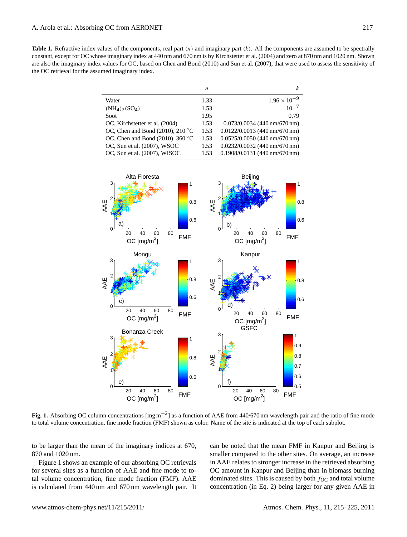**Table 1.** Refractive index values of the components, real part  $(n)$  and imaginary part  $(k)$ . All the components are assumed to be spectrally constant, except for OC whose imaginary index at 440 nm and 670 nm is by [Kirchstetter et al.](#page-9-1) [\(2004\)](#page-9-1) and zero at 870 nm and 1020 nm. Shown are also the imaginary index values for OC, based on [Chen and Bond](#page-9-9) [\(2010\)](#page-9-9) and [Sun et al.](#page-10-11) [\(2007\)](#page-10-11), that were used to assess the sensitivity of the OC retrieval for the assumed imaginary index.

|                                           | n    | k                                              |
|-------------------------------------------|------|------------------------------------------------|
| Water                                     | 1.33 | $1.96 \times 10^{-9}$                          |
| $(NH_4)$ <sub>2</sub> $(SO_4)$            | 1.53 | $10^{-7}$                                      |
| Soot                                      | 1.95 | 0.79                                           |
| OC, Kirchstetter et al. (2004)            | 1.53 | $0.073/0.0034$ (440 nm/670 nm)                 |
| OC, Chen and Bond (2010), $210^{\circ}$ C | 1.53 | $0.0122/0.0013(440\,\text{nm}/670\,\text{nm})$ |
| OC, Chen and Bond (2010), $360^{\circ}$ C | 1.53 | $0.0525/0.0050$ (440 nm/670 nm)                |
| OC, Sun et al. (2007), WSOC               | 1.53 | $0.0232/0.0032$ (440 nm/670 nm)                |
| OC, Sun et al. (2007), WISOC              | 1.53 | $0.1908/0.0131(440\,\text{nm}/670\,\text{nm})$ |



Fig. 1. Absorbing OC column concentrations [mg m<sup>-2</sup>] as a function of AAE from 440/670 nm wavelength pair and the ratio of fine mode to total volume concentration, fine mode fraction (FMF) shown as color. Name of the site is indicated at the top of each subplot.

to be larger than the mean of the imaginary indices at 670, 870 and 1020 nm.

Figure 1 shows an example of our absorbing OC retrievals for several sites as a function of AAE and fine mode to total volume concentration, fine mode fraction (FMF). AAE is calculated from 440 nm and 670 nm wavelength pair. It can be noted that the mean FMF in Kanpur and Beijing is smaller compared to the other sites. On average, an increase in AAE relates to stronger increase in the retrieved absorbing OC amount in Kanpur and Beijing than in biomass burning dominated sites. This is caused by both  $f_{OC}$  and total volume concentration (in Eq. 2) being larger for any given AAE in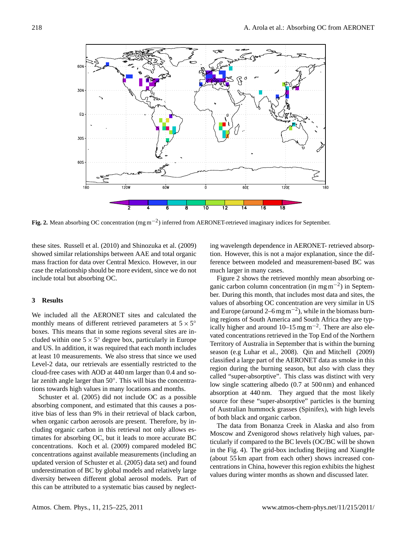

**Fig. 2.** Mean absorbing OC concentration (mg m−<sup>2</sup> ) inferred from AERONET-retrieved imaginary indices for September.

these sites. [Russell et al.](#page-10-4) [\(2010\)](#page-10-4) and [Shinozuka et al.](#page-10-12) [\(2009\)](#page-10-12) showed similar relationships between AAE and total organic mass fraction for data over Central Mexico. However, in our case the relationship should be more evident, since we do not include total but absorbing OC.

#### **3 Results**

We included all the AERONET sites and calculated the monthly means of different retrieved parameters at  $5 \times 5^{\circ}$ boxes. This means that in some regions several sites are included within one  $5 \times 5^{\circ}$  degree box, particularly in Europe and US. In addition, it was required that each month includes at least 10 measurements. We also stress that since we used Level-2 data, our retrievals are essentially restricted to the cloud-free cases with AOD at 440 nm larger than 0.4 and solar zenith angle larger than 50◦ . This will bias the concentrations towards high values in many locations and months.

[Schuster et al.](#page-10-6) [\(2005\)](#page-10-6) did not include OC as a possible absorbing component, and estimated that this causes a positive bias of less than 9% in their retrieval of black carbon, when organic carbon aerosols are present. Therefore, by including organic carbon in this retrieval not only allows estimates for absorbing OC, but it leads to more accurate BC concentrations. [Koch et al.](#page-9-5) [\(2009\)](#page-9-5) compared modeled BC concentrations against available measurements (including an updated version of [Schuster et al.](#page-10-6) [\(2005\)](#page-10-6) data set) and found underestimation of BC by global models and relatively large diversity between different global aerosol models. Part of this can be attributed to a systematic bias caused by neglecting wavelength dependence in AERONET- retrieved absorption. However, this is not a major explanation, since the difference between modeled and measurement-based BC was much larger in many cases.

Figure 2 shows the retrieved monthly mean absorbing organic carbon column concentration (in mg m−<sup>2</sup> ) in September. During this month, that includes most data and sites, the values of absorbing OC concentration are very similar in US and Europe (around 2–6 mg  $m^{-2}$ ), while in the biomass burning regions of South America and South Africa they are typically higher and around 10–15 mg m−<sup>2</sup> . There are also elevated concentrations retrieved in the Top End of the Northern Territory of Australia in September that is within the burning season (e.g [Luhar et al.,](#page-10-13) [2008\)](#page-10-13). [Qin and Mitchell](#page-10-14) [\(2009\)](#page-10-14) classified a large part of the AERONET data as smoke in this region during the burning season, but also with class they called "super-absorptive". This class was distinct with very low single scattering albedo (0.7 at 500 nm) and enhanced absorption at 440 nm. They argued that the most likely source for these "super-absorptive" particles is the burning of Australian hummock grasses (Spinifex), with high levels of both black and organic carbon.

The data from Bonanza Creek in Alaska and also from Moscow and Zvenigorod shows relatively high values, particularly if compared to the BC levels (OC/BC will be shown in the Fig. 4). The grid-box including Beijing and XiangHe (about 55 km apart from each other) shows increased concentrations in China, however this region exhibits the highest values during winter months as shown and discussed later.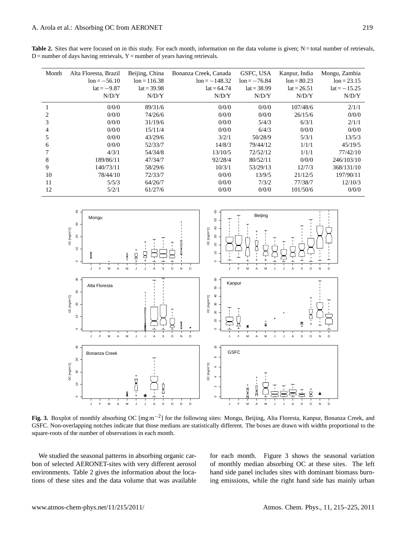| Month | Alta Floresta, Brazil | Beijing, China | Bonanza Creek, Canada | GSFC, USA      | Kanpur, India | Mongu, Zambia  |
|-------|-----------------------|----------------|-----------------------|----------------|---------------|----------------|
|       | $lon = -56.10$        | $lon = 116.38$ | $lon = -148.32$       | $lon = -76.84$ | $lon = 80.23$ | $lon = 23.15$  |
|       | $lat = -9.87$         | $lat = 39.98$  | $lat = 64.74$         | $lat = 38.99$  | $lat = 26.51$ | $lat = -15.25$ |
|       | N/D/Y                 | N/D/Y          | N/D/Y                 | N/D/Y          | N/D/Y         | N/D/Y          |
|       | 0/0/0                 | 89/31/6        | 0/0/0                 | 0/0/0          | 107/48/6      | 2/1/1          |
|       | 0/0/0                 | 74/26/6        | 0/0/0                 | 0/0/0          | 26/15/6       | 0/0/0          |
| 3     | 0/0/0                 | 31/19/6        | 0/0/0                 | 5/4/3          | 6/3/1         | 2/1/1          |
| 4     | 0/0/0                 | 15/11/4        | 0/0/0                 | 6/4/3          | 0/0/0         | 0/0/0          |
|       | 0/0/0                 | 43/29/6        | 3/2/1                 | 50/28/9        | 5/3/1         | 13/5/3         |
| 6     | 0/0/0                 | 52/33/7        | 14/8/3                | 79/44/12       | 1/1/1         | 45/19/5        |
|       | 4/3/1                 | 54/34/8        | 13/10/5               | 72/52/12       | 1/1/1         | 77/42/10       |
| 8     | 189/86/11             | 47/34/7        | 92/28/4               | 80/52/11       | 0/0/0         | 246/103/10     |
| 9     | 140/73/11             | 58/29/6        | 10/3/1                | 53/29/13       | 12/7/3        | 368/131/10     |
| 10    | 78/44/10              | 72/33/7        | 0/0/0                 | 13/9/5         | 21/12/5       | 197/90/11      |
| 11    | 5/5/3                 | 64/26/7        | 0/0/0                 | 7/3/2          | 77/38/7       | 12/10/3        |
| 12    | 5/2/1                 | 61/27/6        | 0/0/0                 | 0/0/0          | 101/50/6      | 0/0/0          |



Fig. 3. Boxplot of monthly absorbing OC [mg m<sup>-2</sup>] for the following sites: Mongu, Beijing, Alta Floresta, Kanpur, Bonanza Creek, and GSFC. Non-overlapping notches indicate that those medians are statistically different. The boxes are drawn with widths proportional to the square-roots of the number of observations in each month.

We studied the seasonal patterns in absorbing organic carbon of selected AERONET-sites with very different aerosol environments. Table 2 gives the information about the locations of these sites and the data volume that was available

for each month. Figure 3 shows the seasonal variation of monthly median absorbing OC at these sites. The left hand side panel includes sites with dominant biomass burning emissions, while the right hand side has mainly urban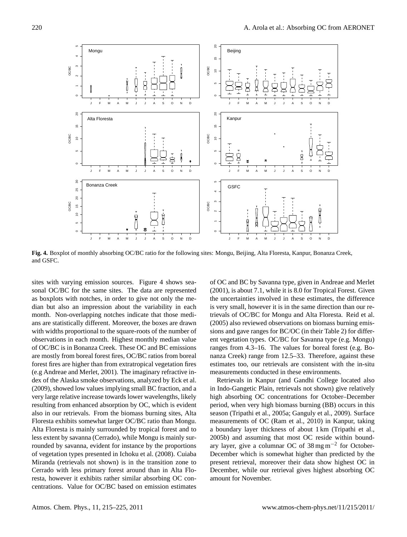

**Fig. 4.** Boxplot of monthly absorbing OC/BC ratio for the following sites: Mongu, Beijing, Alta Floresta, Kanpur, Bonanza Creek, and GSFC.

sites with varying emission sources. Figure 4 shows seasonal OC/BC for the same sites. The data are represented as boxplots with notches, in order to give not only the median but also an impression about the variability in each month. Non-overlapping notches indicate that those medians are statistically different. Moreover, the boxes are drawn with widths proportional to the square-roots of the number of observations in each month. Highest monthly median value of OC/BC is in Bonanza Creek. These OC and BC emissions are mostly from boreal forest fires, OC/BC ratios from boreal forest fires are higher than from extratropical vegetation fires (e.g [Andreae and Merlet,](#page-9-10) [2001\)](#page-9-10). The imaginary refractive index of the Alaska smoke observations, analyzed by [Eck et al.](#page-9-11) [\(2009\)](#page-9-11), showed low values implying small BC fraction, and a very large relative increase towards lower wavelengths, likely resulting from enhanced absorption by OC, which is evident also in our retrievals. From the biomass burning sites, Alta Floresta exhibits somewhat larger OC/BC ratio than Mongu. Alta Floresta is mainly surrounded by tropical forest and to less extent by savanna (Cerrado), while Mongu is mainly surrounded by savanna, evident for instance by the proportions of vegetation types presented in [Ichoku et al.](#page-9-12) [\(2008\)](#page-9-12). Cuiaba Miranda (retrievals not shown) is in the transition zone to Cerrado with less primary forest around than in Alta Floresta, however it exhibits rather similar absorbing OC concentrations. Value for OC/BC based on emission estimates

of OC and BC by Savanna type, given in [Andreae and Merlet](#page-9-10) [\(2001\)](#page-9-10), is about 7.1, while it is 8.0 for Tropical Forest. Given the uncertainties involved in these estimates, the difference is very small, however it is in the same direction than our retrievals of OC/BC for Mongu and Alta Floresta. [Reid et al.](#page-10-15) [\(2005\)](#page-10-15) also reviewed observations on biomass burning emissions and gave ranges for BC/OC (in their Table 2) for different vegetation types. OC/BC for Savanna type (e.g. Mongu) ranges from 4.3–16. The values for boreal forest (e.g. Bonanza Creek) range from 12.5–33. Therefore, against these estimates too, our retrievals are consistent with the in-situ measurements conducted in these environments.

Retrievals in Kanpur (and Gandhi College located also in Indo-Gangetic Plain, retrievals not shown) give relatively high absorbing OC concentrations for October–December period, when very high biomass burning (BB) occurs in this season [\(Tripathi et al.,](#page-10-16) [2005a;](#page-10-16) [Ganguly et al.,](#page-9-13) [2009\)](#page-9-13). Surface measurements of OC [\(Ram et al.,](#page-10-17) [2010\)](#page-10-17) in Kanpur, taking a boundary layer thickness of about 1 km [\(Tripathi et al.,](#page-10-18) [2005b\)](#page-10-18) and assuming that most OC reside within boundary layer, give a columnar OC of 38 mg m−<sup>2</sup> for October-December which is somewhat higher than predicted by the present retrieval, moreover their data show highest OC in December, while our retrieval gives highest absorbing OC amount for November.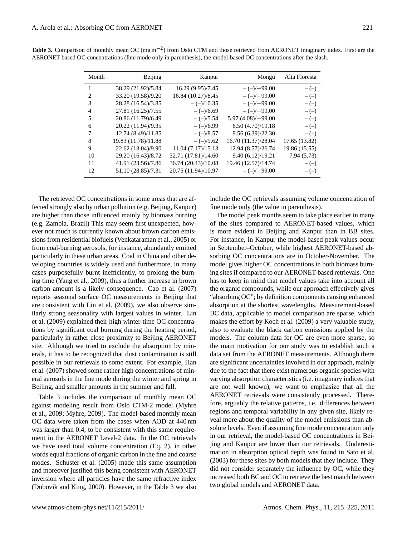| Month | Beijing             | Kanpur              | Mongu               | Alta Floresta |
|-------|---------------------|---------------------|---------------------|---------------|
| 1     | 38.29 (21.92)/5.84  | 16.29 (9.95)/7.45   | $-(-)/-99.00$       | $-(-)$        |
| 2     | 33.20 (19.58)/9.20  | 16.84 (10.27)/8.45  | $-(-)/-99.00$       | $-(-)$        |
| 3     | 28.28 (16.54)/3.85  | $-(-)/10.35$        | $-(-)/-99.00$       | $-(-)$        |
| 4     | 27.81 (16.25)/7.55  | $-(-)/6.69$         | $-(-)/-99.00$       | $-(-)$        |
| 5     | 20.86 (11.79)/6.49  | $-(-)/5.54$         | $5.97(4.08)/-99.00$ | $-(-)$        |
| 6     | 20.22 (11.94)/9.35  | $-(-)/6.99$         | 6.50(4.70)/19.18    | $-(-)$        |
| 7     | 12.74 (8.49)/11.85  | $-(-)/8.57$         | 9.56 (6.39)/22.30   | $-(-)$        |
| 8     | 19.83 (11.78)/11.88 | $-(-)/9.62$         | 16.70 (11.37)/28.04 | 17.65 (13.82) |
| 9     | 22.62 (13.04)/9.90  | 11.04 (7.17)/15.13  | 12.94 (8.57)/26.74  | 19.86 (15.55) |
| 10    | 29.20 (16.43)/8.72  | 32.71 (17.81)/14.60 | 9.40(6.12)/19.21    | 7.94(5.73)    |
| 11    | 41.91 (23.56)/7.86  | 36.74 (20.43)/10.08 | 19.46 (12.57)/14.74 | $-(-)$        |
| 12    | 51.10 (28.85)/7.31  | 20.75 (11.94)/10.97 | $-(-)/-99.00$       | $-(-)$        |

Table 3. Comparison of monthly mean OC (mg m<sup>-2</sup>) from Oslo CTM and those retrieved from AERONET imaginary index. First are the AERONET-based OC concentrations (fine mode only in parenthesis), the model-based OC concentrations after the slash.

The retrieved OC concentrations in some areas that are affected strongly also by urban pollution (e.g. Beijing, Kanpur) are higher than those influenced mainly by biomass burning (e.g. Zambia, Brazil) This may seem first unexpected, however not much is currently known about brown carbon emissions from residential biofuels [\(Venkataraman et al.,](#page-10-19) [2005\)](#page-10-19) or from coal-burning aerosols, for instance, abundantly emitted particularly in these urban areas. Coal in China and other developing countries is widely used and furthermore, in many cases purposefully burnt inefficiently, to prolong the burning time [\(Yang et al.,](#page-10-2) [2009\)](#page-10-2), thus a further increase in brown carbon amount is a likely consequence. [Cao et al.](#page-9-14) [\(2007\)](#page-9-14) reports seasonal surface OC measurements in Beijing that are consistent with [Lin et al.](#page-10-20) [\(2009\)](#page-10-20), we also observe similarly strong seasonality with largest values in winter. [Lin](#page-10-20) [et al.](#page-10-20) [\(2009\)](#page-10-20) explained their high winter-time OC concentrations by significant coal burning during the heating period, particularly in rather close proximity to Beijing AERONET site. Although we tried to exclude the absorption by minerals, it has to be recognized that dust contamination is still possible in our retrievals to some extent. For example, [Han](#page-9-15) [et al.](#page-9-15) [\(2007\)](#page-9-15) showed some rather high concentrations of mineral aerosols in the fine mode during the winter and spring in Beijing, and smaller amounts in the summer and fall.

Table 3 includes the comparison of monthly mean OC against modeling result from Oslo CTM-2 model [\(Myhre](#page-10-21) [et al.,](#page-10-21) [2009;](#page-10-21) [Myhre,](#page-10-0) [2009\)](#page-10-0). The model-based monthly mean OC data were taken from the cases when AOD at 440 nm was larger than 0.4, to be consistent with this same requirement in the AERONET Level-2 data. In the OC retrievals we have used total volume concentration (Eq. 2), in other words equal fractions of organic carbon in the fine and coarse modes. [Schuster et al.](#page-10-6) [\(2005\)](#page-10-6) made this same assumption and moreover justified this being consistent with AERONET inversion where all particles have the same refractive index [\(Dubovik and King,](#page-9-16) [2000\)](#page-9-16). However, in the Table 3 we also include the OC retrievals assuming volume concentration of fine mode only (the value in parenthesis).

The model peak months seem to take place earlier in many of the sites compared to AERONET-based values, which is more evident in Beijing and Kanpur than in BB sites. For instance, in Kanpur the model-based peak values occur in September–October, while highest AERONET-based absorbing OC concentrations are in October-November. The model gives higher OC concentrations in both biomass burning sites if compared to our AERONET-based retrievals. One has to keep in mind that model values take into account all the organic compounds, while our approach effectively gives "absorbing OC"; by definition components causing enhanced absorption at the shortest wavelengths. Measurement-based BC data, applicable to model comparison are sparse, which makes the effort by [Koch et al.](#page-9-5) [\(2009\)](#page-9-5) a very valuable study, also to evaluate the black carbon emissions applied by the models. The column data for OC are even more sparse, so the main motivation for our study was to establish such a data set from the AERONET measurements. Although there are significant uncertainties involved in our approach, mainly due to the fact that there exist numerous organic species with varying absorption characteristics (i.e. imaginary indices that are not well known), we want to emphasize that all the AERONET retrievals were consistently processed. Therefore, arguably the relative patterns, i.e. differences between regions and temporal variability in any given site, likely reveal more about the quality of the model emissions than absolute levels. Even if assuming fine mode concentration only in our retrieval, the model-based OC concentrations in Beijing and Kanpur are lower than our retrievals. Underestimation in absorption optical depth was found in [Sato et al.](#page-10-9) [\(2003\)](#page-10-9) for these sites by both models that they include. They did not consider separately the influence by OC, while they increased both BC and OC to retrieve the best match between two global models and AERONET data.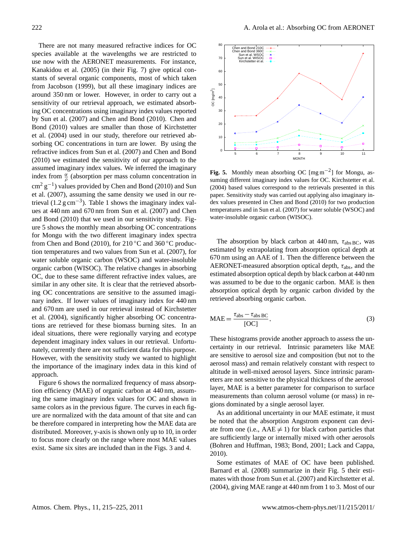There are not many measured refractive indices for OC species available at the wavelengths we are restricted to use now with the AERONET measurements. For instance, [Kanakidou et al.](#page-9-17) [\(2005\)](#page-9-17) (in their Fig. 7) give optical constants of several organic components, most of which taken from [Jacobson](#page-9-18) [\(1999\)](#page-9-18), but all these imaginary indices are around 350 nm or lower. However, in order to carry out a sensitivity of our retrieval approach, we estimated absorbing OC concentrations using imaginary index values reported by [Sun et al.](#page-10-11) [\(2007\)](#page-10-11) and [Chen and Bond](#page-9-9) [\(2010\)](#page-9-9). [Chen and](#page-9-9) [Bond](#page-9-9) [\(2010\)](#page-9-9) values are smaller than those of [Kirchstetter](#page-9-1) [et al.](#page-9-1) [\(2004\)](#page-9-1) used in our study, therefore our retrieved absorbing OC concentrations in turn are lower. By using the refractive indices from [Sun et al.](#page-10-11) [\(2007\)](#page-10-11) and [Chen and Bond](#page-9-9) [\(2010\)](#page-9-9) we estimated the sensitivity of our approach to the assumed imaginary index values. We inferred the imaginary index from  $\frac{\alpha}{\rho}$  (absorption per mass column concentration in  $\text{cm}^2 \text{ g}^{-1}$ ) values provided by [Chen and Bond](#page-9-9) [\(2010\)](#page-9-9) and [Sun](#page-10-11) [et al.](#page-10-11) [\(2007\)](#page-10-11), assuming the same density we used in our retrieval  $(1.2 \text{ g cm}^{-3})$ . Table 1 shows the imaginary index values at 440 nm and 670 nm from [Sun et al.](#page-10-11) [\(2007\)](#page-10-11) and [Chen](#page-9-9) [and Bond](#page-9-9) [\(2010\)](#page-9-9) that we used in our sensitivity study. Figure 5 shows the monthly mean absorbing OC concentrations for Mongu with the two different imaginary index spectra from [Chen and Bond](#page-9-9) [\(2010\)](#page-9-9), for  $210\degree$ C and 360 °C production temperatures and two values from [Sun et al.](#page-10-11) [\(2007\)](#page-10-11), for water soluble organic carbon (WSOC) and water-insoluble organic carbon (WISOC). The relative changes in absorbing OC, due to these same different refractive index values, are similar in any other site. It is clear that the retrieved absorbing OC concentrations are sensitive to the assumed imaginary index. If lower values of imaginary index for 440 nm and 670 nm are used in our retrieval instead of [Kirchstetter](#page-9-1) [et al.](#page-9-1) [\(2004\)](#page-9-1), significantly higher absorbing OC concentrations are retrieved for these biomass burning sites. In an ideal situations, there were regionally varying and ecotype dependent imaginary index values in our retrieval. Unfortunately, currently there are not sufficient data for this purpose. However, with the sensitivity study we wanted to highlight the importance of the imaginary index data in this kind of approach.

Figure 6 shows the normalized frequency of mass absorption efficiency (MAE) of organic carbon at 440 nm, assuming the same imaginary index values for OC and shown in same colors as in the previous figure. The curves in each figure are normalized with the data amount of that site and can be therefore compared in interpreting how the MAE data are distributed. Moreover, y-axis is shown only up to 10, in order to focus more clearly on the range where most MAE values exist. Same six sites are included than in the Figs. 3 and 4.



**Fig. 5.** Monthly mean absorbing OC  $[\text{mg m}^{-2}]$  for Mongu, assuming different imaginary index values for OC. [Kirchstetter et al.](#page-9-1) [\(2004\)](#page-9-1) based values correspond to the retrievals presented in this paper. Sensitivity study was carried out applying also imaginary index values presented in [Chen and Bond](#page-9-9) [\(2010\)](#page-9-9) for two production temperatures and in [Sun et al.](#page-10-11) [\(2007\)](#page-10-11) for water soluble (WSOC) and water-insoluble organic carbon (WISOC).

The absorption by black carbon at  $440 \text{ nm}$ ,  $\tau_{\text{abs BC}}$ , was estimated by extrapolating from absorption optical depth at 670 nm using an AAE of 1. Then the difference between the AERONET-measured absorption optical depth,  $\tau_{\text{abs}}$ , and the estimated absorption optical depth by black carbon at 440 nm was assumed to be due to the organic carbon. MAE is then absorption optical depth by organic carbon divided by the retrieved absorbing organic carbon.

$$
MAE = \frac{\tau_{\text{abs}} - \tau_{\text{abs BC}}}{[OC]},
$$
\n(3)

These histograms provide another approach to assess the uncertainty in our retrieval. Intrinsic parameters like MAE are sensitive to aerosol size and composition (but not to the aerosol mass) and remain relatively constant with respect to altitude in well-mixed aerosol layers. Since intrinsic parameters are not sensitive to the physical thickness of the aerosol layer, MAE is a better parameter for comparison to surface measurements than column aerosol volume (or mass) in regions dominated by a single aerosol layer.

As an additional uncertainty in our MAE estimate, it must be noted that the absorption Angstrom exponent can deviate from one (i.e.,  $AAE \neq 1$ ) for black carbon particles that are sufficiently large or internally mixed with other aerosols [\(Bohren and Huffman,](#page-9-19) [1983;](#page-9-19) [Bond,](#page-9-20) [2001;](#page-9-20) [Lack and Cappa,](#page-10-22) [2010\)](#page-10-22).

Some estimates of MAE of OC have been published. [Barnard et al.](#page-9-21) [\(2008\)](#page-9-21) summarize in their Fig. 5 their estimates with those from [Sun et al.](#page-10-11) [\(2007\)](#page-10-11) and [Kirchstetter et al.](#page-9-1) [\(2004\)](#page-9-1), giving MAE range at 440 nm from 1 to 3. Most of our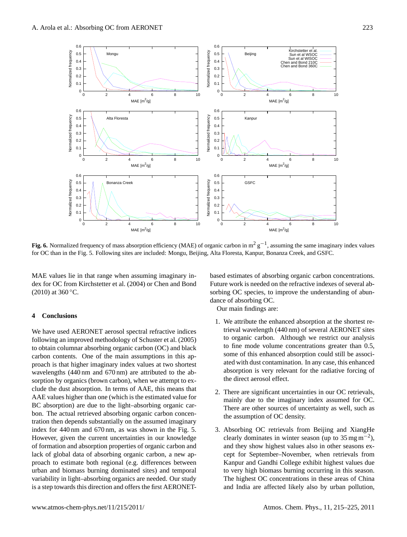

**Fig. 6.** Normalized frequency of mass absorption efficiency (MAE) of organic carbon in  $m^2 g^{-1}$ , assuming the same imaginary index values for OC than in the Fig. 5. Following sites are included: Mongu, Beijing, Alta Floresta, Kanpur, Bonanza Creek, and GSFC.

MAE values lie in that range when assuming imaginary index for OC from [Kirchstetter et al.](#page-9-1) [\(2004\)](#page-9-1) or [Chen and Bond](#page-9-9) [\(2010\)](#page-9-9) at  $360^{\circ}$ C.

## **4 Conclusions**

We have used AERONET aerosol spectral refractive indices following an improved methodology of [Schuster et al.](#page-10-6) [\(2005\)](#page-10-6) to obtain columnar absorbing organic carbon (OC) and black carbon contents. One of the main assumptions in this approach is that higher imaginary index values at two shortest wavelengths (440 nm and 670 nm) are attributed to the absorption by organics (brown carbon), when we attempt to exclude the dust absorption. In terms of AAE, this means that AAE values higher than one (which is the estimated value for BC absorption) are due to the light–absorbing organic carbon. The actual retrieved absorbing organic carbon concentration then depends substantially on the assumed imaginary index for 440 nm and 670 nm, as was shown in the Fig. 5. However, given the current uncertainties in our knowledge of formation and absorption properties of organic carbon and lack of global data of absorbing organic carbon, a new approach to estimate both regional (e.g. differences between urban and biomass burning dominated sites) and temporal variability in light–absorbing organics are needed. Our study is a step towards this direction and offers the first AERONET-

based estimates of absorbing organic carbon concentrations. Future work is needed on the refractive indexes of several absorbing OC species, to improve the understanding of abundance of absorbing OC.

Our main findings are:

- 1. We attribute the enhanced absorption at the shortest retrieval wavelength (440 nm) of several AERONET sites to organic carbon. Although we restrict our analysis to fine mode volume concentrations greater than 0.5, some of this enhanced absorption could still be associated with dust contamination. In any case, this enhanced absorption is very relevant for the radiative forcing of the direct aerosol effect.
- 2. There are significant uncertainties in our OC retrievals, mainly due to the imaginary index assumed for OC. There are other sources of uncertainty as well, such as the assumption of OC density.
- 3. Absorbing OC retrievals from Beijing and XiangHe clearly dominates in winter season (up to  $35 \text{ mg m}^{-2}$ ), and they show highest values also in other seasons except for September–November, when retrievals from Kanpur and Gandhi College exhibit highest values due to very high biomass burning occurring in this season. The highest OC concentrations in these areas of China and India are affected likely also by urban pollution,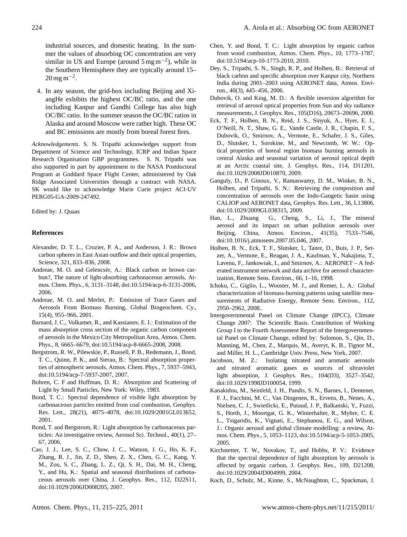industrial sources, and domestic heating. In the summer the values of absorbing OC concentration are very similar in US and Europe (around  $5 \text{ mg m}^{-2}$ ), while in the Southern Hemisphere they are typically around 15–  $20 \,\mathrm{mg}\,\mathrm{m}^{-2}$ .

4. In any season, the grid-box including Beijing and XiangHe exhibits the highest OC/BC ratio, and the one including Kanpur and Gandhi College has also high OC/BC ratio. In the summer season the OC/BC ratios in Alaska and around Moscow were rather high. These OC and BC emissions are mostly from boreal forest fires.

*Acknowledgements.* S. N. Tripathi acknowledges support from Department of Science and Technology, ICRP and Indian Space Research Organisation GBP programmes. S. N. Tripathi was also supported in part by appointment to the NASA Postdoctoral Program at Goddard Space Flight Center, administered by Oak Ridge Associated Universities through a contract with NASA. SK would like to acknowledge Marie Curie project ACI-UV PERG05-GA-2009-247492.

Edited by: J. Quaas

## **References**

- <span id="page-9-2"></span>Alexander, D. T. L., Crozier, P. A., and Anderson, J. R.: Brown carbon spheres in East Asian outflow and their optical properties, Science, 321, 833–836, 2008.
- <span id="page-9-3"></span>Andreae, M. O. and Gelencsér, A.: Black carbon or brown carbon?, The nature of light-absorbing carbonaceous aerosols, Atmos. Chem. Phys., 6, 3131–3148, doi:10.5194/acp-6-3131-2006, 2006.
- <span id="page-9-10"></span>Andreae, M. O. and Merlet, P.: Emission of Trace Gases and Aerosols From Biomass Burning, Global Biogeochem. Cy., 15(4), 955–966, 2001.
- <span id="page-9-21"></span>Barnard, J. C., Volkamer, R., and Kassianov, E. I.: Estimation of the mass absorption cross section of the organic carbon component of aerosols in the Mexico City Metropolitan Area, Atmos. Chem. Phys., 8, 6665–6679, doi:10.5194/acp-8-6665-2008, 2008.
- <span id="page-9-4"></span>Bergstrom, R. W., Pilewskie, P., Russell, P. B., Redemann, J., Bond, T. C., Quinn, P. K., and Sierau, B.: Spectral absorption properties of atmospheric aerosols, Atmos. Chem. Phys., 7, 5937–5943, doi:10.5194/acp-7-5937-2007, 2007.
- <span id="page-9-19"></span>Bohren, C. F and Huffman, D. R.: Absorption and Scattering of Light by Small Particles, New York: Wiley, 1983.
- <span id="page-9-20"></span>Bond, T. C.: Spectral dependence of visible light absorption by carbonaceous particles emitted from coal combustion, Geophys. Res. Lett., 28(21), 4075–4078, doi:10.1029/2001GL013652, 2001.
- <span id="page-9-8"></span>Bond, T. and Bergstrom, R.: Light absorption by carbonaceous particles: An investigative review, Aerosol Sci. Technol., 40(1), 27– 67, 2006.
- <span id="page-9-14"></span>Cao, J. J., Lee, S. C., Chow, J. C., Watson, J. G., Ho, K. F., Zhang, R. J., Jin, Z. D., Shen, Z. X., Chen, G. C., Kang, Y. M., Zou, S. C., Zhang, L. Z., Qi, S. H., Dai, M. H., Cheng, Y., and Hu, K.: Spatial and seasonal distributions of carbonaceous aerosols over China, J. Geophys. Res., 112, D22S11, doi:10.1029/2006JD008205, 2007.
- <span id="page-9-9"></span>Chen, Y. and Bond, T. C.: Light absorption by organic carbon from wood combustion, Atmos. Chem. Phys., 10, 1773–1787, doi:10.5194/acp-10-1773-2010, 2010.
- <span id="page-9-7"></span>Dey, S., Tripathi, S. N., Singh, R. P., and Holben, B.: Retrieval of black carbon and specific absorption over Kanpur city, Northern India during 2001–2003 using AERONET data, Atmos. Environ., 40(3), 445–456, 2006.
- <span id="page-9-16"></span>Dubovik, O. and King, M. D.: A flexible inversion algorithm for retrieval of aerosol optical properties from Sun and sky radiance measurements, J. Geophys. Res., 105(D16), 20673–20696, 2000.
- <span id="page-9-11"></span>Eck, T. F., Holben, B. N., Reid, J. S., Sinyuk, A., Hyer, E. J., O'Neill, N. T., Shaw, G. E., Vande Castle, J. R., Chapin, F. S., Dubovik, O., Smirnov, A., Vermote, E., Schafer, J. S., Giles, D., Slutsker, I., Sorokine, M., and Newcomb, W. W.: Optical properties of boreal region biomass burning aerosols in central Alaska and seasonal variation of aerosol optical depth at an Arctic coastal site, J. Geophys. Res., 114, D11201, doi:10.1029/2008JD010870, 2009.
- <span id="page-9-13"></span>Ganguly, D., P. Ginoux, V., Ramaswamy, D. M., Winker, B. N., Holben, and Tripathi, S. N.: Retrieving the composition and concentration of aerosols over the Indo-Gangetic basin using CALIOP and AERONET data, Geophys. Res. Lett., 36, L13806, doi:10.1029/2009GL038315, 2009.
- <span id="page-9-15"></span>Han, L., Zhuang G., Cheng, S., Li, J., The mineral aerosol and its impact on urban pollution aerosols over Beijing, China, Atmos. Environ., 41(35), 7533–7546, doi:10.1016/j.atmosenv.2007.05.046, 2007.
- <span id="page-9-6"></span>Holben, B. N., Eck, T. F., Slutsker, I., Tanre, D., Buis, J. P., Setzer, A., Vermote, E., Reagan, J. A., Kaufman, Y., Nakajima, T., Lavenu, F., Jankowiak, I., and Smirnov, A.: AERONET – A federated instrument network and data archive for aerosol characterization, Remote Sens. Environ., 66, 1–16, 1998.
- <span id="page-9-12"></span>Ichoku, C., Giglio, L., Wooster, M. J., and Remer, L. A.: Global characterization of biomass-burning patterns using satellite measurements of Radiative Energy, Remote Sens. Environ., 112, 2950–2962, 2008..
- <span id="page-9-0"></span>Intergovernmental Panel on Climate Change (IPCC), Climate Change 2007: The Scientific Basis. Contribution of Working Group I to the Fourth Assessment Report of the Intergovernmental Panel on Climate Change, edited by: Solomon, S., Qin, D., Manning, M., Chen, Z., Marquis, M., Averyt, K. B., Tignor M., and Miller, H. L., Cambridge Univ. Press, New York, 2007.
- <span id="page-9-18"></span>Jacobson, M. Z.: Isolating nitrated and aromatic aerosols and nitrated aromatic gases as sources of ultraviolet light absorption, J. Geophys. Res., 104(D3), 3527–3542, doi:10.1029/1998JD100054, 1999.
- <span id="page-9-17"></span>Kanakidou, M., Seinfeld, J. H., Pandis, S. N., Barnes, I., Dentener, F. J., Facchini, M. C., Van Dingenen, R., Ervens, B., Nenes, A., Nielsen, C. J., Swietlicki, E., Putaud, J. P., Balkanski, Y., Fuzzi, S., Horth, J., Moortgat, G. K., Winterhalter, R., Myhre, C. E. L., Tsigaridis, K., Vignati, E., Stephanou, E. G., and Wilson, J.: Organic aerosol and global climate modelling: a review, Atmos. Chem. Phys., 5, 1053–1123, doi:10.5194/acp-5-1053-2005, 2005.
- <span id="page-9-1"></span>Kirchstetter, T. W., Novakov, T., and Hobbs, P. V.: Evidence that the spectral dependence of light absorption by aerosols is affected by organic carbon, J. Geophys. Res., 109, D21208, doi:10.1029/2004JD004999, 2004.
- <span id="page-9-5"></span>Koch, D., Schulz, M., Kinne, S., McNaughton, C., Spackman, J.